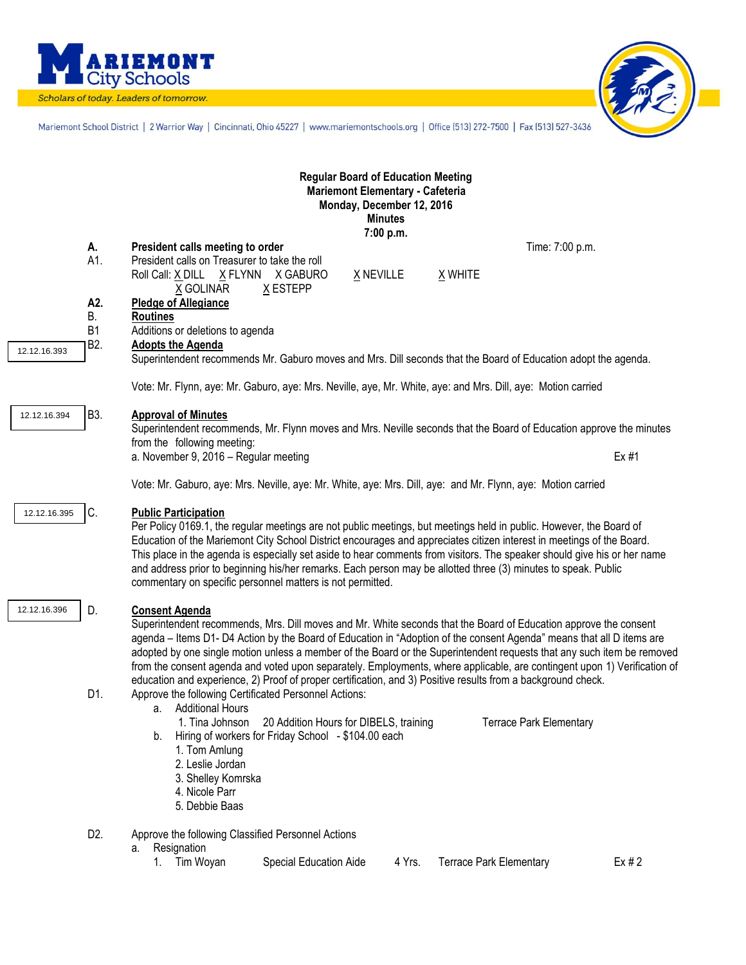

Scholars of today. Leaders of tomorrow.



Mariemont School District | 2 Warrior Way | Cincinnati, Ohio 45227 | www.mariemontschools.org | Office [513] 272-7500 | Fax [513] 527-3436

|              |                                                                                                                | <b>Regular Board of Education Meeting</b><br>Mariemont Elementary - Cafeteria<br>Monday, December 12, 2016<br><b>Minutes</b><br>7:00 p.m.                                                                                                                                                                                                                                                                                                                                                                                                                                                                                                                                                                                          |  |  |  |  |
|--------------|----------------------------------------------------------------------------------------------------------------|------------------------------------------------------------------------------------------------------------------------------------------------------------------------------------------------------------------------------------------------------------------------------------------------------------------------------------------------------------------------------------------------------------------------------------------------------------------------------------------------------------------------------------------------------------------------------------------------------------------------------------------------------------------------------------------------------------------------------------|--|--|--|--|
|              | А.                                                                                                             | President calls meeting to order<br>Time: 7:00 p.m.                                                                                                                                                                                                                                                                                                                                                                                                                                                                                                                                                                                                                                                                                |  |  |  |  |
|              | A1.                                                                                                            | President calls on Treasurer to take the roll<br>X NEVILLE<br>Roll Call: X DILL X FLYNN X GABURO<br>X WHITE<br>X ESTEPP<br>X GOLINAR                                                                                                                                                                                                                                                                                                                                                                                                                                                                                                                                                                                               |  |  |  |  |
|              | A2.<br>В.<br>B <sub>1</sub>                                                                                    | <b>Pledge of Allegiance</b><br><b>Routines</b><br>Additions or deletions to agenda                                                                                                                                                                                                                                                                                                                                                                                                                                                                                                                                                                                                                                                 |  |  |  |  |
| 12.12.16.393 | B <sub>2</sub> .                                                                                               | <b>Adopts the Agenda</b>                                                                                                                                                                                                                                                                                                                                                                                                                                                                                                                                                                                                                                                                                                           |  |  |  |  |
|              | Superintendent recommends Mr. Gaburo moves and Mrs. Dill seconds that the Board of Education adopt the agenda. |                                                                                                                                                                                                                                                                                                                                                                                                                                                                                                                                                                                                                                                                                                                                    |  |  |  |  |
|              | Vote: Mr. Flynn, aye: Mr. Gaburo, aye: Mrs. Neville, aye, Mr. White, aye: and Mrs. Dill, aye: Motion carried   |                                                                                                                                                                                                                                                                                                                                                                                                                                                                                                                                                                                                                                                                                                                                    |  |  |  |  |
| 12.12.16.394 | <b>B3.</b>                                                                                                     | <b>Approval of Minutes</b><br>Superintendent recommends, Mr. Flynn moves and Mrs. Neville seconds that the Board of Education approve the minutes<br>from the following meeting:                                                                                                                                                                                                                                                                                                                                                                                                                                                                                                                                                   |  |  |  |  |
|              |                                                                                                                | a. November 9, 2016 - Regular meeting<br>Ex #1                                                                                                                                                                                                                                                                                                                                                                                                                                                                                                                                                                                                                                                                                     |  |  |  |  |
|              | Vote: Mr. Gaburo, aye: Mrs. Neville, aye: Mr. White, aye: Mrs. Dill, aye: and Mr. Flynn, aye: Motion carried   |                                                                                                                                                                                                                                                                                                                                                                                                                                                                                                                                                                                                                                                                                                                                    |  |  |  |  |
| 12.12.16.395 | C.                                                                                                             | <b>Public Participation</b><br>Per Policy 0169.1, the regular meetings are not public meetings, but meetings held in public. However, the Board of<br>Education of the Mariemont City School District encourages and appreciates citizen interest in meetings of the Board.<br>This place in the agenda is especially set aside to hear comments from visitors. The speaker should give his or her name<br>and address prior to beginning his/her remarks. Each person may be allotted three (3) minutes to speak. Public<br>commentary on specific personnel matters is not permitted.                                                                                                                                            |  |  |  |  |
| 12.12.16.396 | D.<br>D1.                                                                                                      | <b>Consent Agenda</b><br>Superintendent recommends, Mrs. Dill moves and Mr. White seconds that the Board of Education approve the consent<br>agenda – Items D1- D4 Action by the Board of Education in "Adoption of the consent Agenda" means that all D items are<br>adopted by one single motion unless a member of the Board or the Superintendent requests that any such item be removed<br>from the consent agenda and voted upon separately. Employments, where applicable, are contingent upon 1) Verification of<br>education and experience, 2) Proof of proper certification, and 3) Positive results from a background check.<br>Approve the following Certificated Personnel Actions:<br><b>Additional Hours</b><br>а. |  |  |  |  |
|              |                                                                                                                | 20 Addition Hours for DIBELS, training<br><b>Terrace Park Elementary</b><br>1. Tina Johnson<br>Hiring of workers for Friday School - \$104.00 each<br>b.<br>1. Tom Amlung<br>2. Leslie Jordan<br>3. Shelley Komrska<br>4. Nicole Parr<br>5. Debbie Baas                                                                                                                                                                                                                                                                                                                                                                                                                                                                            |  |  |  |  |
|              | D <sub>2</sub>                                                                                                 | Approve the following Classified Personnel Actions<br>Resignation<br>а.<br>Tim Woyan<br>Special Education Aide<br>4 Yrs.<br><b>Terrace Park Elementary</b><br>Ex#2<br>1.                                                                                                                                                                                                                                                                                                                                                                                                                                                                                                                                                           |  |  |  |  |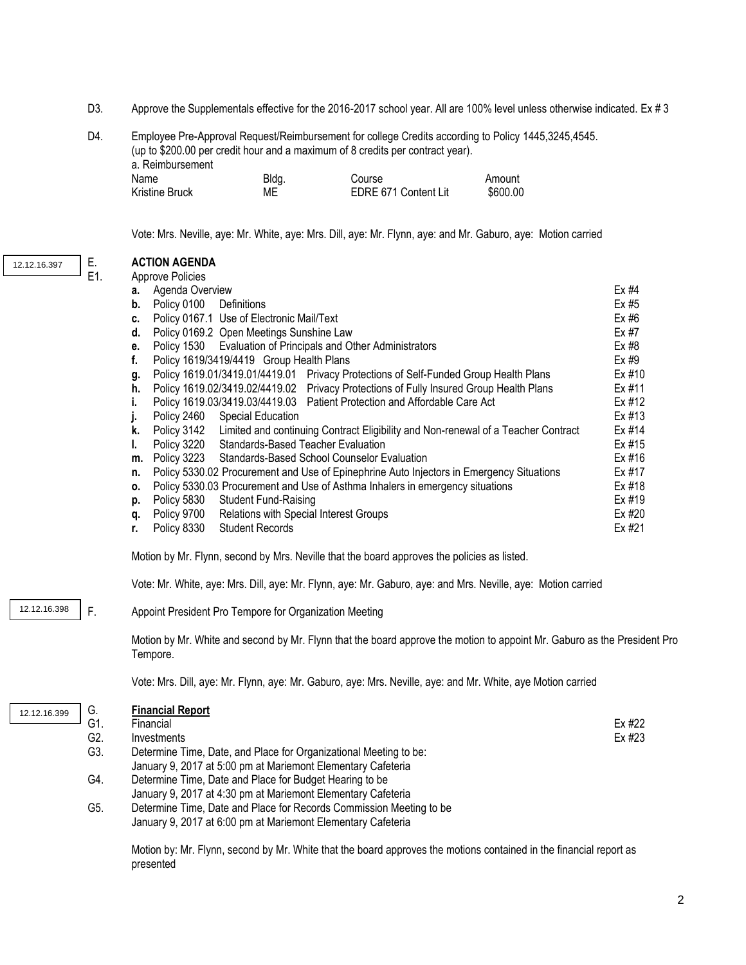- D3. Approve the Supplementals effective for the 2016-2017 school year. All are 100% level unless otherwise indicated. Ex # 3
- D4. Employee Pre-Approval Request/Reimbursement for college Credits according to Policy 1445,3245,4545. (up to \$200.00 per credit hour and a maximum of 8 credits per contract year). a. Reimbursement Name Bldg. Blookstead Course Course Amount Kristine Bruck ME ME EDRE 671 Content Lit \$600.00

Vote: Mrs. Neville, aye: Mr. White, aye: Mrs. Dill, aye: Mr. Flynn, aye: and Mr. Gaburo, aye: Motion carried

| 12.12.16.397 | Е.  | <b>ACTION AGENDA</b>                                                                                                                                                                                        |        |
|--------------|-----|-------------------------------------------------------------------------------------------------------------------------------------------------------------------------------------------------------------|--------|
|              | E1. | <b>Approve Policies</b>                                                                                                                                                                                     |        |
|              |     | Agenda Overview<br>а.                                                                                                                                                                                       | Ex #4  |
|              |     | Policy 0100<br>Definitions<br>b.                                                                                                                                                                            | Ex #5  |
|              |     | Policy 0167.1 Use of Electronic Mail/Text<br>c.                                                                                                                                                             | Ex #6  |
|              |     | Policy 0169.2 Open Meetings Sunshine Law<br>d.                                                                                                                                                              | Ex #7  |
|              |     | Policy 1530 Evaluation of Principals and Other Administrators<br>е.                                                                                                                                         | Ex #8  |
|              |     | Policy 1619/3419/4419 Group Health Plans<br>f.                                                                                                                                                              | Ex #9  |
|              |     | Policy 1619.01/3419.01/4419.01 Privacy Protections of Self-Funded Group Health Plans<br>g.                                                                                                                  | Ex #10 |
|              |     | Policy 1619.02/3419.02/4419.02 Privacy Protections of Fully Insured Group Health Plans<br>h.                                                                                                                | Ex #11 |
|              |     | Policy 1619.03/3419.03/4419.03 Patient Protection and Affordable Care Act<br>i.                                                                                                                             | Ex #12 |
|              |     | Policy 2460<br><b>Special Education</b><br>j.                                                                                                                                                               | Ex #13 |
|              |     | Limited and continuing Contract Eligibility and Non-renewal of a Teacher Contract<br>k.<br>Policy 3142                                                                                                      | Ex #14 |
|              |     | Policy 3220 Standards-Based Teacher Evaluation<br>I.                                                                                                                                                        | Ex #15 |
|              |     | Policy 3223<br>Standards-Based School Counselor Evaluation<br>m.                                                                                                                                            | Ex #16 |
|              |     | Policy 5330.02 Procurement and Use of Epinephrine Auto Injectors in Emergency Situations<br>n.                                                                                                              | Ex #17 |
|              |     | Policy 5330.03 Procurement and Use of Asthma Inhalers in emergency situations<br>0.                                                                                                                         | Ex #18 |
|              |     | Policy 5830<br><b>Student Fund-Raising</b><br>p.                                                                                                                                                            | Ex #19 |
|              |     | Policy 9700<br>Relations with Special Interest Groups<br>q.                                                                                                                                                 | Ex #20 |
|              |     | Policy 8330<br><b>Student Records</b><br>r.                                                                                                                                                                 | Ex #21 |
|              |     | Motion by Mr. Flynn, second by Mrs. Neville that the board approves the policies as listed.<br>Vote: Mr. White, aye: Mrs. Dill, aye: Mr. Flynn, aye: Mr. Gaburo, aye: and Mrs. Neville, aye: Motion carried |        |
| 12.12.16.398 | F.  | Appoint President Pro Tempore for Organization Meeting                                                                                                                                                      |        |
|              |     | Motion by Mr. White and second by Mr. Flynn that the board approve the motion to appoint Mr. Gaburo as the President Pro<br>Tempore.                                                                        |        |
|              |     | Vote: Mrs. Dill, aye: Mr. Flynn, aye: Mr. Gaburo, aye: Mrs. Neville, aye: and Mr. White, aye Motion carried                                                                                                 |        |
| 12.12.16.399 | G.  | <b>Financial Report</b>                                                                                                                                                                                     |        |
|              | G1. | Financial                                                                                                                                                                                                   | Ex #22 |
|              | G2. | Investments                                                                                                                                                                                                 | Ex #23 |
|              | G3. | Determine Time, Date, and Place for Organizational Meeting to be:                                                                                                                                           |        |
|              |     | January 9, 2017 at 5:00 pm at Mariemont Elementary Cafeteria                                                                                                                                                |        |
|              | G4. | Determine Time, Date and Place for Budget Hearing to be                                                                                                                                                     |        |
|              |     | January 9, 2017 at 4:30 pm at Mariemont Elementary Cafeteria                                                                                                                                                |        |
|              | G5. | Determine Time, Date and Place for Records Commission Meeting to be                                                                                                                                         |        |
|              |     | January 9, 2017 at 6:00 pm at Mariemont Elementary Cafeteria                                                                                                                                                |        |
|              |     | Matter boo Mar Ebrare received boo Mar White the the beach arranged the realizers contained to the Created as                                                                                               |        |

Motion by: Mr. Flynn, second by Mr. White that the board approves the motions contained in the financial report as presented